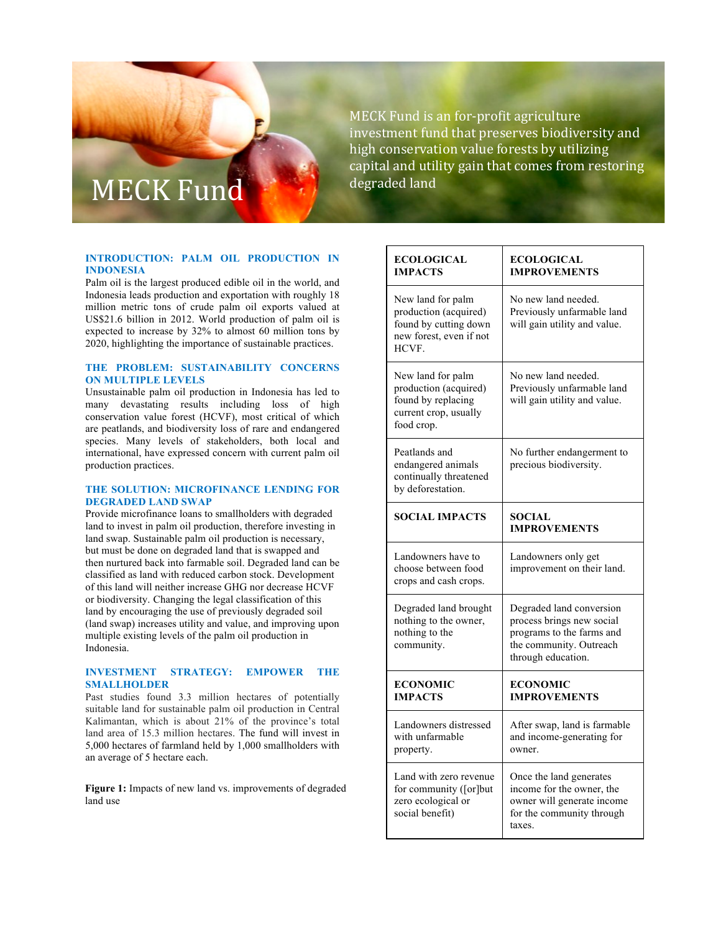# MECK Fund degraded land

#### **INTRODUCTION: PALM OIL PRODUCTION IN INDONESIA**

Palm oil is the largest produced edible oil in the world, and Indonesia leads production and exportation with roughly 18 million metric tons of crude palm oil exports valued at US\$21.6 billion in 2012. World production of palm oil is expected to increase by 32% to almost 60 million tons by 2020, highlighting the importance of sustainable practices.

## **THE PROBLEM: SUSTAINABILITY CONCERNS ON MULTIPLE LEVELS**

Unsustainable palm oil production in Indonesia has led to many devastating results including loss of high conservation value forest (HCVF), most critical of which are peatlands, and biodiversity loss of rare and endangered species. Many levels of stakeholders, both local and international, have expressed concern with current palm oil production practices.

### **THE SOLUTION: MICROFINANCE LENDING FOR DEGRADED LAND SWAP**

Provide microfinance loans to smallholders with degraded land to invest in palm oil production, therefore investing in land swap. Sustainable palm oil production is necessary, but must be done on degraded land that is swapped and then nurtured back into farmable soil. Degraded land can be classified as land with reduced carbon stock. Development of this land will neither increase GHG nor decrease HCVF or biodiversity. Changing the legal classification of this land by encouraging the use of previously degraded soil (land swap) increases utility and value, and improving upon multiple existing levels of the palm oil production in Indonesia.

### **INVESTMENT STRATEGY: EMPOWER THE SMALLHOLDER**

Past studies found 3.3 million hectares of potentially suitable land for sustainable palm oil production in Central Kalimantan, which is about 21% of the province's total land area of 15.3 million hectares. The fund will invest in 5,000 hectares of farmland held by 1,000 smallholders with an average of 5 hectare each.

**Figure 1:** Impacts of new land vs. improvements of degraded land use

MECK Fund is an for-profit agriculture investment fund that preserves biodiversity and high conservation value forests by utilizing capital and utility gain that comes from restoring

| <b>ECOLOGICAL</b><br><b>IMPACTS</b>                                                                     | <b>ECOLOGICAL</b><br><b>IMPROVEMENTS</b>                                                                                            |
|---------------------------------------------------------------------------------------------------------|-------------------------------------------------------------------------------------------------------------------------------------|
| New land for palm<br>production (acquired)<br>found by cutting down<br>new forest, even if not<br>HCVF. | No new land needed.<br>Previously unfarmable land<br>will gain utility and value.                                                   |
| New land for palm<br>production (acquired)<br>found by replacing<br>current crop, usually<br>food crop. | No new land needed.<br>Previously unfarmable land<br>will gain utility and value.                                                   |
| Peatlands and<br>endangered animals<br>continually threatened<br>by deforestation.                      | No further endangerment to<br>precious biodiversity.                                                                                |
| <b>SOCIAL IMPACTS</b>                                                                                   | <b>SOCIAL</b><br><b>IMPROVEMENTS</b>                                                                                                |
| Landowners have to<br>choose between food<br>crops and cash crops.                                      | Landowners only get<br>improvement on their land.                                                                                   |
| Degraded land brought<br>nothing to the owner,<br>nothing to the<br>community.                          | Degraded land conversion<br>process brings new social<br>programs to the farms and<br>the community. Outreach<br>through education. |
| <b>ECONOMIC</b><br><b>IMPACTS</b>                                                                       | <b>ECONOMIC</b><br><b>IMPROVEMENTS</b>                                                                                              |
| Landowners distressed<br>with unfarmable<br>property.                                                   | After swap, land is farmable<br>and income-generating for<br>owner.                                                                 |
| Land with zero revenue<br>for community ([or]but<br>zero ecological or<br>social benefit)               | Once the land generates<br>income for the owner, the<br>owner will generate income<br>for the community through<br>taxes.           |